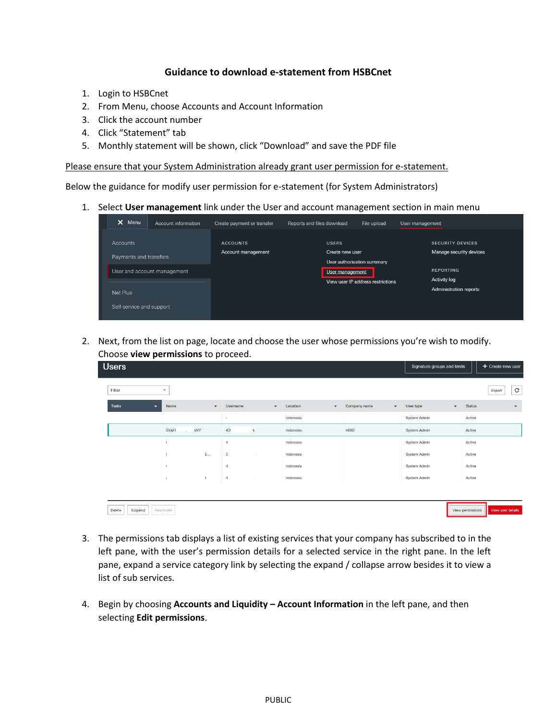## **Guidance to download e-statement from HSBCnet**

- 1. Login to HSBCnet
- 2. From Menu, choose Accounts and Account Information
- 3. Click the account number
- 4. Click "Statement" tab
- 5. Monthly statement will be shown, click "Download" and save the PDF file

Please ensure that your System Administration already grant user permission for e-statement.

Below the guidance for modify user permission for e-statement (for System Administrators)

1. Select **User management** link under the User and account management section in main menu

| ×<br>Menu<br>Account information | Create payment or transfer | Reports and files download                    | File upload                       | User management     |                         |
|----------------------------------|----------------------------|-----------------------------------------------|-----------------------------------|---------------------|-------------------------|
| <b>Accounts</b>                  | <b>ACCOUNTS</b>            | <b>USERS</b>                                  |                                   |                     | <b>SECURITY DEVICES</b> |
| Payments and transfers           | Account management         | Create new user                               |                                   |                     | Manage security devices |
| User and account management      |                            | User authorisation summary<br>User management |                                   | <b>REPORTING</b>    |                         |
|                                  |                            |                                               | View user IP address restrictions | <b>Activity log</b> |                         |
| Net Plus                         |                            |                                               |                                   |                     | Administration reports  |
| Self-service and support         |                            |                                               |                                   |                     |                         |

2. Next, from the list on page, locate and choose the user whose permissions you're wish to modify. Choose **view permissions** to proceed.

| <b>Users</b> |         |   |                          |               |                      |          |                            |           |                      |              |                          |              | Signature groups and limits |                  | + Create new user    |
|--------------|---------|---|--------------------------|---------------|----------------------|----------|----------------------------|-----------|----------------------|--------------|--------------------------|--------------|-----------------------------|------------------|----------------------|
|              |         |   |                          |               |                      |          |                            |           |                      |              |                          |              |                             |                  |                      |
| Filter       |         |   | $\overline{\phantom{a}}$ |               |                      |          |                            |           |                      |              |                          |              |                             |                  | $\rm{C}$<br>Export   |
| Tasks        |         | ≂ | Name                     |               | $\blacktriangledown$ | Username | $\blacktriangledown$       | Location  | $\blacktriangledown$ | Company name | $\overline{\phantom{a}}$ | User type    | $\blacktriangledown$        | Status           | $\blacktriangledown$ |
|              |         |   |                          |               | $\epsilon$           |          |                            | Indonesia |                      |              |                          | System Admin |                             | Active           |                      |
|              |         |   | SYAFI                    | ANY<br>$\sim$ | 439                  |          | ٦                          | Indonesia |                      | HBID         |                          | System Admin |                             | Active           |                      |
|              |         |   |                          |               | $\overline{4}$       |          |                            | Indonesia |                      |              |                          | System Admin |                             | Active           |                      |
|              |         |   |                          | $S$           | $\mathfrak I$        |          | $\mathcal{L}_{\mathrm{c}}$ | Indonesia |                      |              |                          | System Admin |                             | Active           |                      |
|              |         |   |                          |               | $\overline{A}$       |          | -1                         | Indonesia |                      |              |                          | System Admin |                             | Active           |                      |
|              |         |   |                          | J.            | $\overline{4}$       |          | $\sim$                     | Indonesia |                      |              |                          | System Admin |                             | Active           |                      |
|              |         |   |                          |               |                      |          |                            |           |                      |              |                          |              |                             |                  |                      |
| Delete       | Suspend |   | Reactivate               |               |                      |          |                            |           |                      |              |                          |              |                             | View permissions | View user details    |

- 3. The permissions tab displays a list of existing services that your company has subscribed to in the left pane, with the user's permission details for a selected service in the right pane. In the left pane, expand a service category link by selecting the expand / collapse arrow besides it to view a list of sub services.
- 4. Begin by choosing **Accounts and Liquidity – Account Information** in the left pane, and then selecting **Edit permissions**.